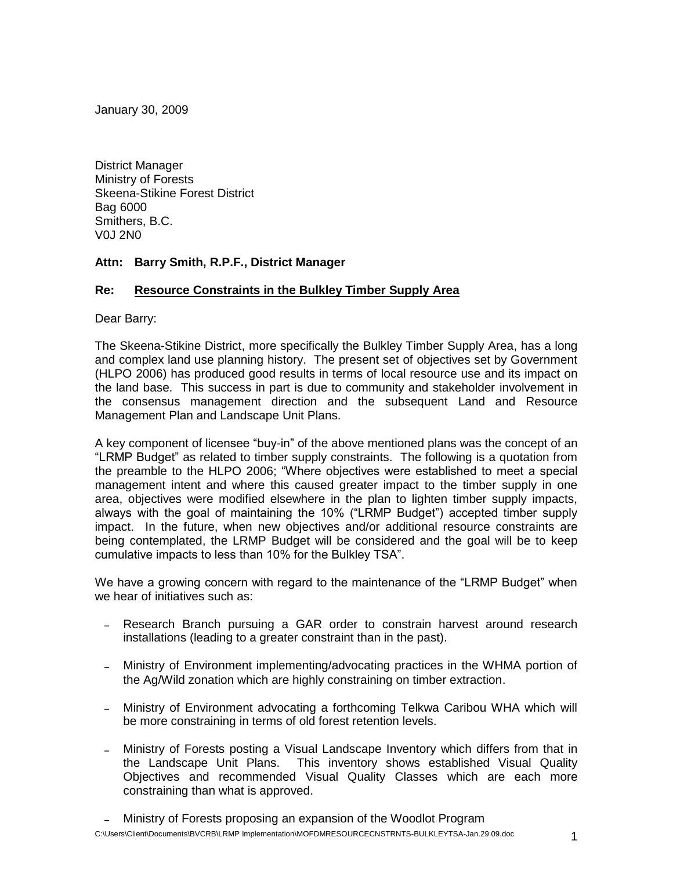January 30, 2009

District Manager Ministry of Forests Skeena-Stikine Forest District Bag 6000 Smithers, B.C. V0J 2N0

## **Attn: Barry Smith, R.P.F., District Manager**

## **Re: Resource Constraints in the Bulkley Timber Supply Area**

Dear Barry:

The Skeena-Stikine District, more specifically the Bulkley Timber Supply Area, has a long and complex land use planning history. The present set of objectives set by Government (HLPO 2006) has produced good results in terms of local resource use and its impact on the land base. This success in part is due to community and stakeholder involvement in the consensus management direction and the subsequent Land and Resource Management Plan and Landscape Unit Plans.

A key component of licensee "buy-in" of the above mentioned plans was the concept of an "LRMP Budget" as related to timber supply constraints. The following is a quotation from the preamble to the HLPO 2006; "Where objectives were established to meet a special management intent and where this caused greater impact to the timber supply in one area, objectives were modified elsewhere in the plan to lighten timber supply impacts, always with the goal of maintaining the 10% ("LRMP Budget") accepted timber supply impact. In the future, when new objectives and/or additional resource constraints are being contemplated, the LRMP Budget will be considered and the goal will be to keep cumulative impacts to less than 10% for the Bulkley TSA".

We have a growing concern with regard to the maintenance of the "LRMP Budget" when we hear of initiatives such as:

- Research Branch pursuing a GAR order to constrain harvest around research installations (leading to a greater constraint than in the past).
- Ministry of Environment implementing/advocating practices in the WHMA portion of the Ag/Wild zonation which are highly constraining on timber extraction.
- Ministry of Environment advocating a forthcoming Telkwa Caribou WHA which will be more constraining in terms of old forest retention levels.
- Ministry of Forests posting a Visual Landscape Inventory which differs from that in the Landscape Unit Plans. This inventory shows established Visual Quality Objectives and recommended Visual Quality Classes which are each more constraining than what is approved.